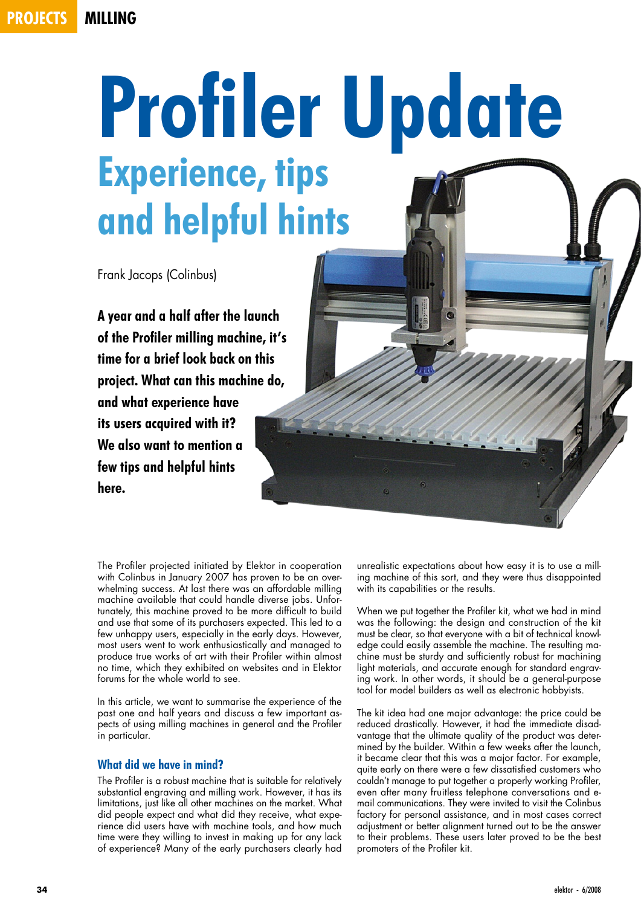# **projects milling**

# **Profiler Update Experience, tips and helpful hints**

Frank Jacops (Colinbus)

**A year and a half after the launch of the Profiler milling machine, it's time for a brief look back on this project. What can this machine do, and what experience have its users acquired with it? We also want to mention a few tips and helpful hints here.**

The Profiler projected initiated by Elektor in cooperation with Colinbus in January 2007 has proven to be an overwhelming success. At last there was an affordable milling machine available that could handle diverse jobs. Unfortunately, this machine proved to be more difficult to build and use that some of its purchasers expected. This led to a few unhappy users, especially in the early days. However, most users went to work enthusiastically and managed to produce true works of art with their Profiler within almost no time, which they exhibited on websites and in Elektor forums for the whole world to see.

In this article, we want to summarise the experience of the past one and half years and discuss a few important aspects of using milling machines in general and the Profiler in particular.

## **What did we have in mind?**

The Profiler is a robust machine that is suitable for relatively substantial engraving and milling work. However, it has its limitations, just like all other machines on the market. What did people expect and what did they receive, what experience did users have with machine tools, and how much time were they willing to invest in making up for any lack of experience? Many of the early purchasers clearly had unrealistic expectations about how easy it is to use a milling machine of this sort, and they were thus disappointed with its capabilities or the results.

When we put together the Profiler kit, what we had in mind was the following: the design and construction of the kit must be clear, so that everyone with a bit of technical knowledge could easily assemble the machine. The resulting machine must be sturdy and sufficiently robust for machining light materials, and accurate enough for standard engraving work. In other words, it should be a general-purpose tool for model builders as well as electronic hobbyists.

The kit idea had one major advantage: the price could be reduced drastically. However, it had the immediate disadvantage that the ultimate quality of the product was determined by the builder. Within a few weeks after the launch, it became clear that this was a major factor. For example, quite early on there were a few dissatisfied customers who couldn't manage to put together a properly working Profiler, even after many fruitless telephone conversations and email communications. They were invited to visit the Colinbus factory for personal assistance, and in most cases correct adjustment or better alignment turned out to be the answer to their problems. These users later proved to be the best promoters of the Profiler kit.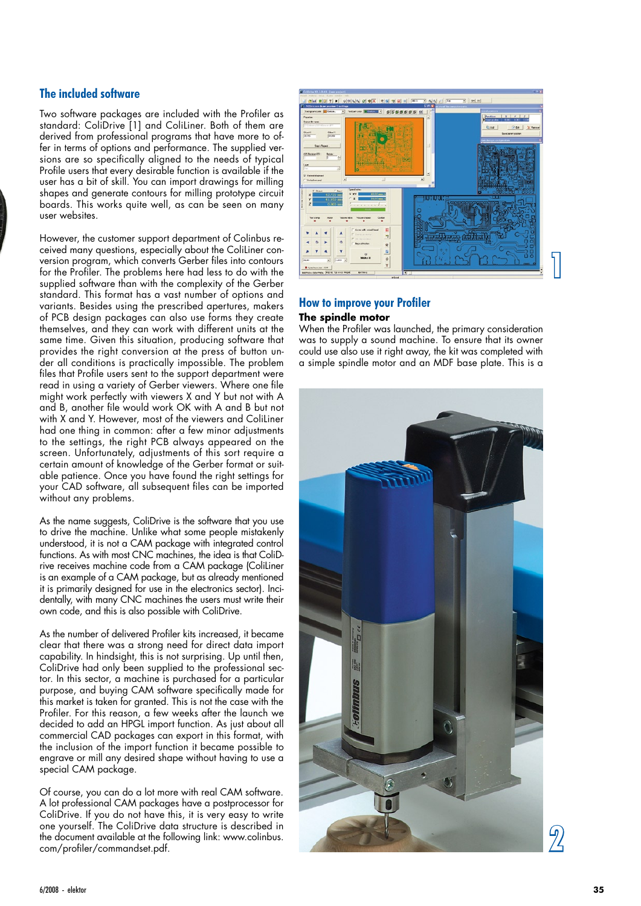# **The included software**

Two software packages are included with the Profiler as standard: ColiDrive [1] and ColiLiner. Both of them are derived from professional programs that have more to offer in terms of options and performance. The supplied versions are so specifically aligned to the needs of typical Profile users that every desirable function is available if the user has a bit of skill. You can import drawings for milling shapes and generate contours for milling prototype circuit boards. This works quite well, as can be seen on many user websites.

However, the customer support department of Colinbus received many questions, especially about the ColiLiner conversion program, which converts Gerber files into contours for the Profiler. The problems here had less to do with the supplied software than with the complexity of the Gerber standard. This format has a vast number of options and variants. Besides using the prescribed apertures, makers of PCB design packages can also use forms they create themselves, and they can work with different units at the same time. Given this situation, producing software that provides the right conversion at the press of button under all conditions is practically impossible. The problem files that Profile users sent to the support department were read in using a variety of Gerber viewers. Where one file might work perfectly with viewers X and Y but not with A and B, another file would work OK with A and B but not with X and Y. However, most of the viewers and ColiLiner had one thing in common: after a few minor adjustments to the settings, the right PCB always appeared on the screen. Unfortunately, adjustments of this sort require a certain amount of knowledge of the Gerber format or suitable patience. Once you have found the right settings for your CAD software, all subsequent files can be imported without any problems.

As the name suggests, ColiDrive is the software that you use to drive the machine. Unlike what some people mistakenly understood, it is not a CAM package with integrated control functions. As with most CNC machines, the idea is that ColiDrive receives machine code from a CAM package (ColiLiner is an example of a CAM package, but as already mentioned it is primarily designed for use in the electronics sector). Incidentally, with many CNC machines the users must write their own code, and this is also possible with ColiDrive.

As the number of delivered Profiler kits increased, it became clear that there was a strong need for direct data import capability. In hindsight, this is not surprising. Up until then, ColiDrive had only been supplied to the professional sector. In this sector, a machine is purchased for a particular purpose, and buying CAM software specifically made for this market is taken for granted. This is not the case with the Profiler. For this reason, a few weeks after the launch we decided to add an HPGL import function. As just about all commercial CAD packages can export in this format, with the inclusion of the import function it became possible to engrave or mill any desired shape without having to use a special CAM package.

Of course, you can do a lot more with real CAM software. A lot professional CAM packages have a postprocessor for ColiDrive. If you do not have this, it is very easy to write one yourself. The ColiDrive data structure is described in the document available at the following link: www.colinbus. com/profiler/commandset.pdf.



# **How to improve your Profiler**

#### **The spindle motor**

When the Profiler was launched, the primary consideration was to supply a sound machine. To ensure that its owner could use also use it right away, the kit was completed with a simple spindle motor and an MDF base plate. This is a

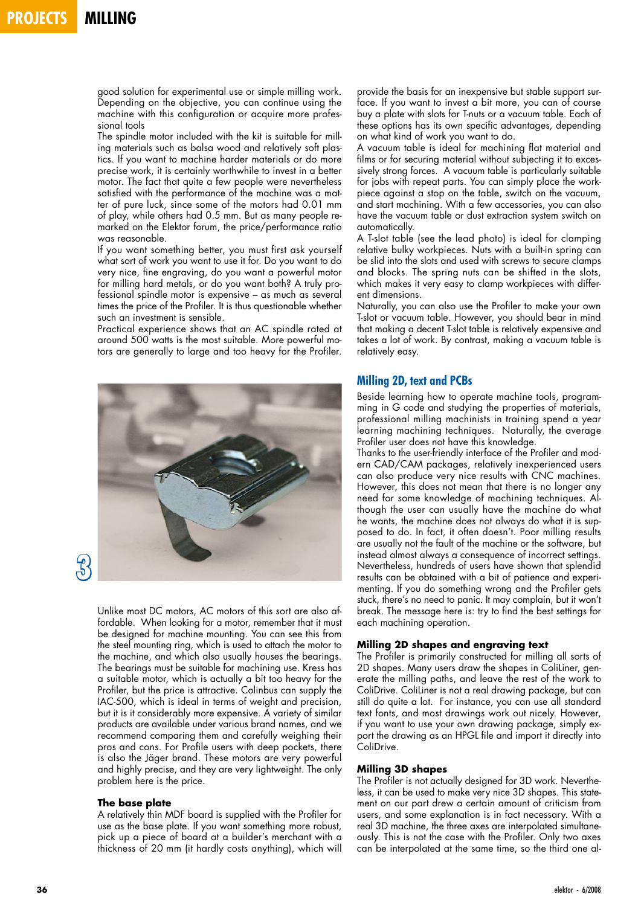good solution for experimental use or simple milling work. Depending on the objective, you can continue using the machine with this configuration or acquire more professional tools

The spindle motor included with the kit is suitable for milling materials such as balsa wood and relatively soft plastics. If you want to machine harder materials or do more precise work, it is certainly worthwhile to invest in a better motor. The fact that quite a few people were nevertheless satisfied with the performance of the machine was a matter of pure luck, since some of the motors had 0.01 mm of play, while others had 0.5 mm. But as many people remarked on the Elektor forum, the price/performance ratio was reasonable.

If you want something better, you must first ask yourself what sort of work you want to use it for. Do you want to do very nice, fine engraving, do you want a powerful motor for milling hard metals, or do you want both? A truly professional spindle motor is expensive – as much as several times the price of the Profiler. It is thus questionable whether such an investment is sensible.

Practical experience shows that an AC spindle rated at around 500 watts is the most suitable. More powerful motors are generally to large and too heavy for the Profiler.



Unlike most DC motors, AC motors of this sort are also affordable. When looking for a motor, remember that it must be designed for machine mounting. You can see this from the steel mounting ring, which is used to attach the motor to the machine, and which also usually houses the bearings. The bearings must be suitable for machining use. Kress has a suitable motor, which is actually a bit too heavy for the Profiler, but the price is attractive. Colinbus can supply the IAC-500, which is ideal in terms of weight and precision, but it is it considerably more expensive. A variety of similar products are available under various brand names, and we recommend comparing them and carefully weighing their pros and cons. For Profile users with deep pockets, there is also the Jäger brand. These motors are very powerful and highly precise, and they are very lightweight. The only problem here is the price.

#### **The base plate**

A relatively thin MDF board is supplied with the Profiler for use as the base plate. If you want something more robust, pick up a piece of board at a builder's merchant with a thickness of 20 mm (it hardly costs anything), which will provide the basis for an inexpensive but stable support surface. If you want to invest a bit more, you can of course buy a plate with slots for T-nuts or a vacuum table. Each of these options has its own specific advantages, depending on what kind of work you want to do.

A vacuum table is ideal for machining flat material and films or for securing material without subjecting it to excessively strong forces. A vacuum table is particularly suitable for jobs with repeat parts. You can simply place the workpiece against a stop on the table, switch on the vacuum, and start machining. With a few accessories, you can also have the vacuum table or dust extraction system switch on automatically.

A T-slot table (see the lead photo) is ideal for clamping relative bulky workpieces. Nuts with a built-in spring can be slid into the slots and used with screws to secure clamps and blocks. The spring nuts can be shifted in the slots, which makes it very easy to clamp workpieces with different dimensions.

Naturally, you can also use the Profiler to make your own T-slot or vacuum table. However, you should bear in mind that making a decent T-slot table is relatively expensive and takes a lot of work. By contrast, making a vacuum table is relatively easy.

#### **Milling 2D, text and PCBs**

Beside learning how to operate machine tools, programming in G code and studying the properties of materials, professional milling machinists in training spend a year learning machining techniques. Naturally, the average Profiler user does not have this knowledge.

Thanks to the user-friendly interface of the Profiler and modern CAD/CAM packages, relatively inexperienced users can also produce very nice results with CNC machines. However, this does not mean that there is no longer any need for some knowledge of machining techniques. Although the user can usually have the machine do what he wants, the machine does not always do what it is supposed to do. In fact, it often doesn't. Poor milling results are usually not the fault of the machine or the software, but instead almost always a consequence of incorrect settings. Nevertheless, hundreds of users have shown that splendid results can be obtained with a bit of patience and experimenting. If you do something wrong and the Profiler gets stuck, there's no need to panic. It may complain, but it won't break. The message here is: try to find the best settings for each machining operation.

#### **Milling 2D shapes and engraving text**

The Profiler is primarily constructed for milling all sorts of 2D shapes. Many users draw the shapes in ColiLiner, generate the milling paths, and leave the rest of the work to ColiDrive. ColiLiner is not a real drawing package, but can still do quite a lot. For instance, you can use all standard text fonts, and most drawings work out nicely. However, if you want to use your own drawing package, simply export the drawing as an HPGL file and import it directly into ColiDrive.

#### **Milling 3D shapes**

The Profiler is not actually designed for 3D work. Nevertheless, it can be used to make very nice 3D shapes. This statement on our part drew a certain amount of criticism from users, and some explanation is in fact necessary. With a real 3D machine, the three axes are interpolated simultaneously. This is not the case with the Profiler. Only two axes can be interpolated at the same time, so the third one al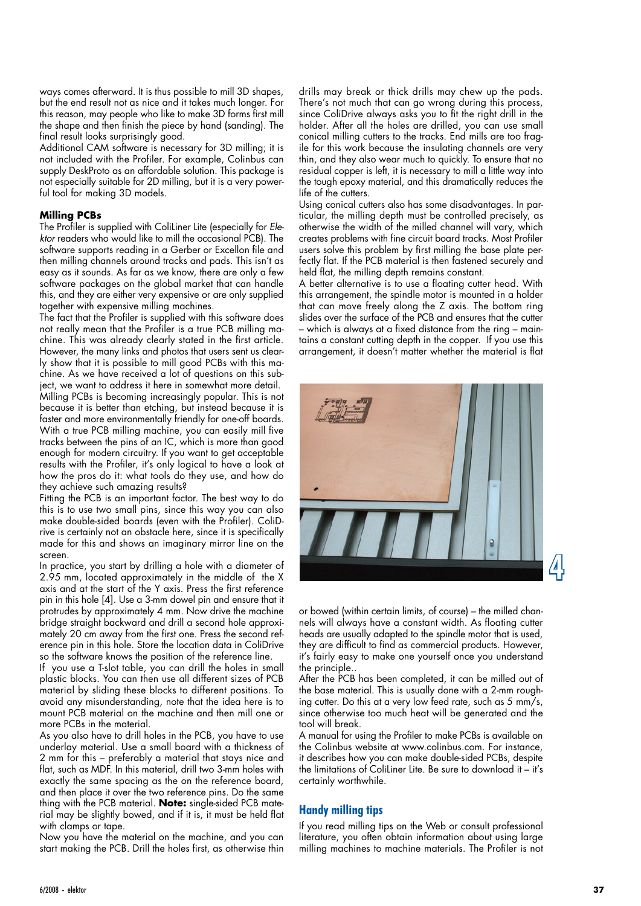ways comes afterward. It is thus possible to mill 3D shapes, but the end result not as nice and it takes much longer. For this reason, may people who like to make 3D forms first mill the shape and then finish the piece by hand (sanding). The final result looks surprisingly good.

Additional CAM software is necessary for 3D milling; it is not included with the Profiler. For example, Colinbus can supply DeskProto as an affordable solution. This package is not especially suitable for 2D milling, but it is a very powerful tool for making 3D models.

#### **Milling PCBs**

The Profiler is supplied with ColiLiner Lite (especially for *Elektor* readers who would like to mill the occasional PCB). The software supports reading in a Gerber or Excellon file and then milling channels around tracks and pads. This isn't as easy as it sounds. As far as we know, there are only a few software packages on the global market that can handle this, and they are either very expensive or are only supplied together with expensive milling machines.

The fact that the Profiler is supplied with this software does not really mean that the Profiler is a true PCB milling machine. This was already clearly stated in the first article. However, the many links and photos that users sent us clearly show that it is possible to mill good PCBs with this machine. As we have received a lot of questions on this subject, we want to address it here in somewhat more detail. Milling PCBs is becoming increasingly popular. This is not because it is better than etching, but instead because it is faster and more environmentally friendly for one-off boards. With a true PCB milling machine, you can easily mill five tracks between the pins of an IC, which is more than good enough for modern circuitry. If you want to get acceptable results with the Profiler, it's only logical to have a look at how the pros do it: what tools do they use, and how do they achieve such amazing results?

Fitting the PCB is an important factor. The best way to do this is to use two small pins, since this way you can also make double-sided boards (even with the Profiler). ColiDrive is certainly not an obstacle here, since it is specifically made for this and shows an imaginary mirror line on the screen.

In practice, you start by drilling a hole with a diameter of 2.95 mm, located approximately in the middle of the X axis and at the start of the Y axis. Press the first reference pin in this hole [4]. Use a 3-mm dowel pin and ensure that it protrudes by approximately 4 mm. Now drive the machine bridge straight backward and drill a second hole approximately 20 cm away from the first one. Press the second reference pin in this hole. Store the location data in ColiDrive so the software knows the position of the reference line.

If you use a T-slot table, you can drill the holes in small plastic blocks. You can then use all different sizes of PCB material by sliding these blocks to different positions. To avoid any misunderstanding, note that the idea here is to mount PCB material on the machine and then mill one or more PCBs in the material.

As you also have to drill holes in the PCB, you have to use underlay material. Use a small board with a thickness of 2 mm for this – preferably a material that stays nice and flat, such as MDF. In this material, drill two 3-mm holes with exactly the same spacing as the on the reference board, and then place it over the two reference pins. Do the same thing with the PCB material. **Note:** single-sided PCB material may be slightly bowed, and if it is, it must be held flat with clamps or tape.

Now you have the material on the machine, and you can start making the PCB. Drill the holes first, as otherwise thin drills may break or thick drills may chew up the pads. There's not much that can go wrong during this process, since ColiDrive always asks you to fit the right drill in the holder. After all the holes are drilled, you can use small conical milling cutters to the tracks. End mills are too fragile for this work because the insulating channels are very thin, and they also wear much to quickly. To ensure that no residual copper is left, it is necessary to mill a little way into the tough epoxy material, and this dramatically reduces the life of the cutters.

Using conical cutters also has some disadvantages. In particular, the milling depth must be controlled precisely, as otherwise the width of the milled channel will vary, which creates problems with fine circuit board tracks. Most Profiler users solve this problem by first milling the base plate perfectly flat. If the PCB material is then fastened securely and held flat, the milling depth remains constant.

A better alternative is to use a floating cutter head. With this arrangement, the spindle motor is mounted in a holder that can move freely along the Z axis. The bottom ring slides over the surface of the PCB and ensures that the cutter – which is always at a fixed distance from the ring – maintains a constant cutting depth in the copper. If you use this arrangement, it doesn't matter whether the material is flat



or bowed (within certain limits, of course) – the milled channels will always have a constant width. As floating cutter heads are usually adapted to the spindle motor that is used, they are difficult to find as commercial products. However, it's fairly easy to make one yourself once you understand the principle.

After the PCB has been completed, it can be milled out of the base material. This is usually done with a 2-mm roughing cutter. Do this at a very low feed rate, such as 5 mm/s, since otherwise too much heat will be generated and the tool will break.

A manual for using the Profiler to make PCBs is available on the Colinbus website at www.colinbus.com. For instance, it describes how you can make double-sided PCBs, despite the limitations of ColiLiner Lite. Be sure to download it – it's certainly worthwhile.

## **Handy milling tips**

If you read milling tips on the Web or consult professional literature, you often obtain information about using large milling machines to machine materials. The Profiler is not